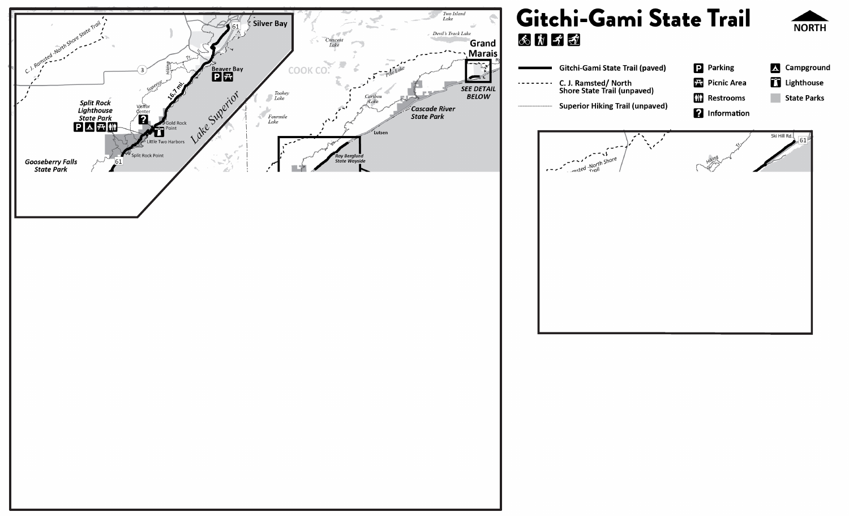